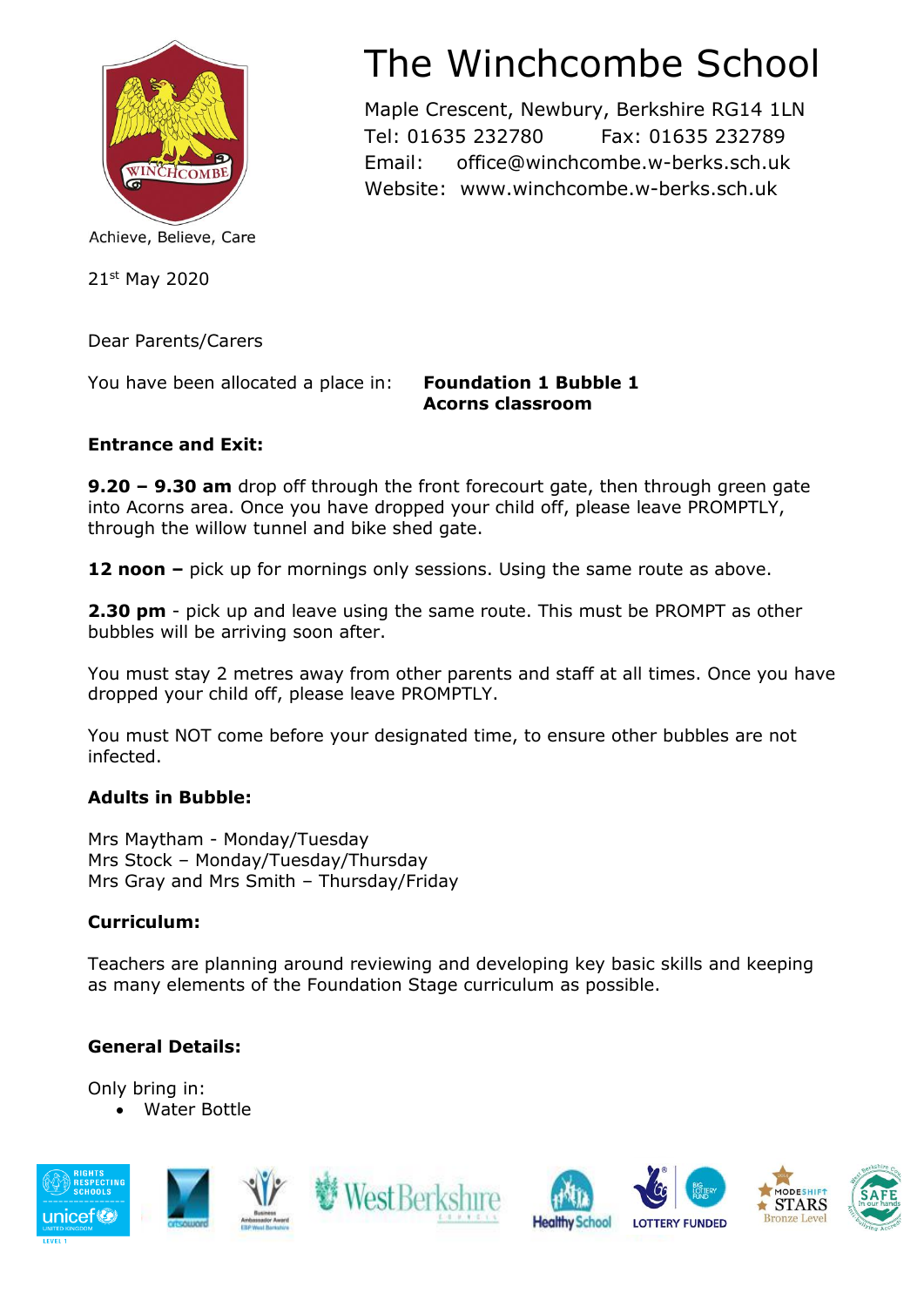

#### Achieve, Believe, Care

21st May 2020

Dear Parents/Carers

You have been allocated a place in: **Foundation 1 Bubble 1**

## **Acorns classroom**

#### **Entrance and Exit:**

**9.20 – 9.30 am** drop off through the front forecourt gate, then through green gate into Acorns area. Once you have dropped your child off, please leave PROMPTLY, through the willow tunnel and bike shed gate.

**12 noon –** pick up for mornings only sessions. Using the same route as above.

**2.30 pm** - pick up and leave using the same route. This must be PROMPT as other bubbles will be arriving soon after.

You must stay 2 metres away from other parents and staff at all times. Once you have dropped your child off, please leave PROMPTLY.

You must NOT come before your designated time, to ensure other bubbles are not infected.

#### **Adults in Bubble:**

Mrs Maytham - Monday/Tuesday Mrs Stock – Monday/Tuesday/Thursday Mrs Gray and Mrs Smith – Thursday/Friday

#### **Curriculum:**

Teachers are planning around reviewing and developing key basic skills and keeping as many elements of the Foundation Stage curriculum as possible.

### **General Details:**

Only bring in: • Water Bottle



# The Winchcombe School

Maple Crescent, Newbury, Berkshire RG14 1LN Tel: 01635 232780 Fax: 01635 232789 Email: office@winchcombe.w-berks.sch.uk Website: www.winchcombe.w-berks.sch.uk